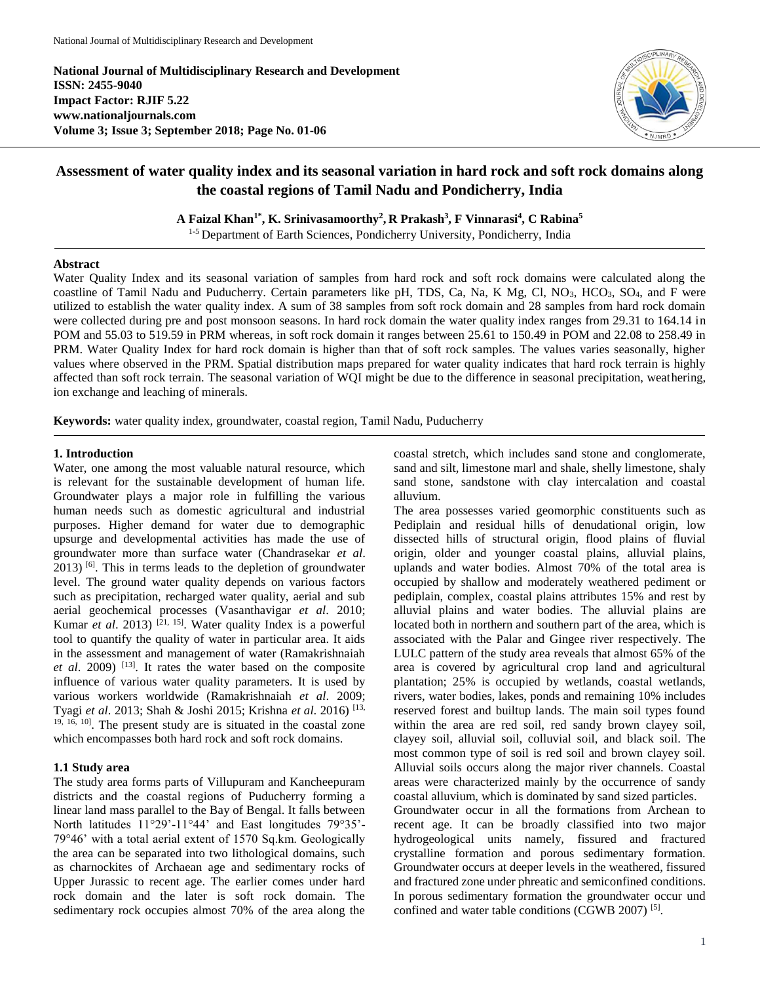**National Journal of Multidisciplinary Research and Development ISSN: 2455-9040 Impact Factor: RJIF 5.22 www.nationaljournals.com Volume 3; Issue 3; September 2018; Page No. 01-06**



# **Assessment of water quality index and its seasonal variation in hard rock and soft rock domains along the coastal regions of Tamil Nadu and Pondicherry, India**

**A Faizal Khan1\*, K. Srinivasamoorthy<sup>2</sup> , R Prakash<sup>3</sup> , F Vinnarasi<sup>4</sup> , C Rabina<sup>5</sup>**

<sup>1-5</sup> Department of Earth Sciences, Pondicherry University, Pondicherry, India

#### **Abstract**

Water Quality Index and its seasonal variation of samples from hard rock and soft rock domains were calculated along the coastline of Tamil Nadu and Puducherry. Certain parameters like pH, TDS, Ca, Na, K Mg, Cl, NO<sub>3</sub>, HCO<sub>3</sub>, SO<sub>4</sub>, and F were utilized to establish the water quality index. A sum of 38 samples from soft rock domain and 28 samples from hard rock domain were collected during pre and post monsoon seasons. In hard rock domain the water quality index ranges from 29.31 to 164.14 in POM and 55.03 to 519.59 in PRM whereas, in soft rock domain it ranges between 25.61 to 150.49 in POM and 22.08 to 258.49 in PRM. Water Quality Index for hard rock domain is higher than that of soft rock samples. The values varies seasonally, higher values where observed in the PRM. Spatial distribution maps prepared for water quality indicates that hard rock terrain is highly affected than soft rock terrain. The seasonal variation of WQI might be due to the difference in seasonal precipitation, weathering, ion exchange and leaching of minerals.

**Keywords:** water quality index, groundwater, coastal region, Tamil Nadu, Puducherry

## **1. Introduction**

Water, one among the most valuable natural resource, which is relevant for the sustainable development of human life. Groundwater plays a major role in fulfilling the various human needs such as domestic agricultural and industrial purposes. Higher demand for water due to demographic upsurge and developmental activities has made the use of groundwater more than surface water (Chandrasekar *et al*.  $2013$ ) [6]. This in terms leads to the depletion of groundwater level. The ground water quality depends on various factors such as precipitation, recharged water quality, aerial and sub aerial geochemical processes (Vasanthavigar *et al*. 2010; Kumar *et al.* 2013) <sup>[21, 15]. Water quality Index is a powerful</sup> tool to quantify the quality of water in particular area. It aids in the assessment and management of water (Ramakrishnaiah *et al*. 2009) [13]. It rates the water based on the composite influence of various water quality parameters. It is used by various workers worldwide (Ramakrishnaiah *et al*. 2009; Tyagi *et al*. 2013; Shah & Joshi 2015; Krishna *et al*. 2016) [13, <sup>19, 16, 10]</sup>. The present study are is situated in the coastal zone which encompasses both hard rock and soft rock domains.

# **1.1 Study area**

The study area forms parts of Villupuram and Kancheepuram districts and the coastal regions of Puducherry forming a linear land mass parallel to the Bay of Bengal. It falls between North latitudes 11°29'-11°44' and East longitudes 79°35'- 79°46' with a total aerial extent of 1570 Sq.km. Geologically the area can be separated into two lithological domains, such as charnockites of Archaean age and sedimentary rocks of Upper Jurassic to recent age. The earlier comes under hard rock domain and the later is soft rock domain. The sedimentary rock occupies almost 70% of the area along the coastal stretch, which includes sand stone and conglomerate, sand and silt, limestone marl and shale, shelly limestone, shaly sand stone, sandstone with clay intercalation and coastal alluvium.

The area possesses varied geomorphic constituents such as Pediplain and residual hills of denudational origin, low dissected hills of structural origin, flood plains of fluvial origin, older and younger coastal plains, alluvial plains, uplands and water bodies. Almost 70% of the total area is occupied by shallow and moderately weathered pediment or pediplain, complex, coastal plains attributes 15% and rest by alluvial plains and water bodies. The alluvial plains are located both in northern and southern part of the area, which is associated with the Palar and Gingee river respectively. The LULC pattern of the study area reveals that almost 65% of the area is covered by agricultural crop land and agricultural plantation; 25% is occupied by wetlands, coastal wetlands, rivers, water bodies, lakes, ponds and remaining 10% includes reserved forest and builtup lands. The main soil types found within the area are red soil, red sandy brown clayey soil, clayey soil, alluvial soil, colluvial soil, and black soil. The most common type of soil is red soil and brown clayey soil. Alluvial soils occurs along the major river channels. Coastal areas were characterized mainly by the occurrence of sandy coastal alluvium, which is dominated by sand sized particles. Groundwater occur in all the formations from Archean to recent age. It can be broadly classified into two major hydrogeological units namely, fissured and fractured crystalline formation and porous sedimentary formation. Groundwater occurs at deeper levels in the weathered, fissured and fractured zone under phreatic and semiconfined conditions. In porous sedimentary formation the groundwater occur und confined and water table conditions (CGWB 2007)<sup>[5]</sup>.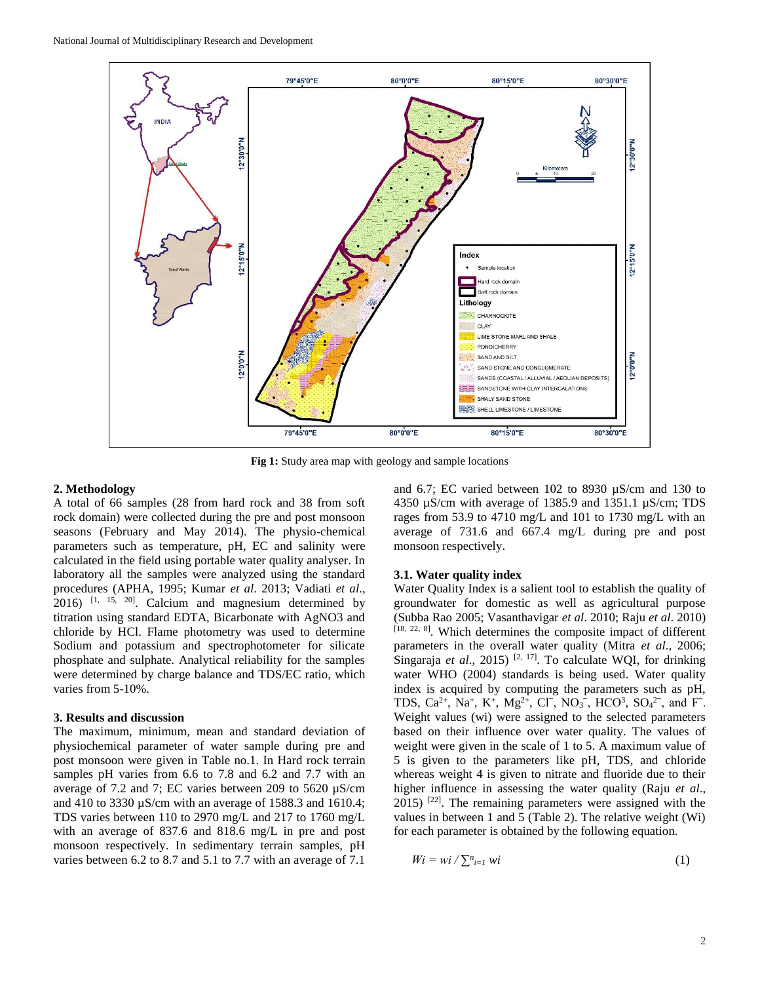

**Fig 1:** Study area map with geology and sample locations

#### **2. Methodology**

A total of 66 samples (28 from hard rock and 38 from soft rock domain) were collected during the pre and post monsoon seasons (February and May 2014). The physio-chemical parameters such as temperature, pH, EC and salinity were calculated in the field using portable water quality analyser. In laboratory all the samples were analyzed using the standard procedures (APHA, 1995; Kumar *et al*. 2013; Vadiati *et al*.,  $2016$ ) <sup>[1, 15, 20]</sup>. Calcium and magnesium determined by titration using standard EDTA, Bicarbonate with AgNO3 and chloride by HCl. Flame photometry was used to determine Sodium and potassium and spectrophotometer for silicate phosphate and sulphate. Analytical reliability for the samples were determined by charge balance and TDS/EC ratio, which varies from 5-10%.

### **3. Results and discussion**

The maximum, minimum, mean and standard deviation of physiochemical parameter of water sample during pre and post monsoon were given in Table no.1. In Hard rock terrain samples pH varies from 6.6 to 7.8 and 6.2 and 7.7 with an average of 7.2 and 7; EC varies between 209 to 5620 µS/cm and 410 to 3330 µS/cm with an average of 1588.3 and 1610.4; TDS varies between 110 to 2970 mg/L and 217 to 1760 mg/L with an average of 837.6 and 818.6 mg/L in pre and post monsoon respectively. In sedimentary terrain samples, pH varies between 6.2 to 8.7 and 5.1 to 7.7 with an average of 7.1

and 6.7; EC varied between 102 to 8930 µS/cm and 130 to 4350 µS/cm with average of 1385.9 and 1351.1 µS/cm; TDS rages from 53.9 to 4710 mg/L and 101 to 1730 mg/L with an average of 731.6 and 667.4 mg/L during pre and post monsoon respectively.

#### **3.1. Water quality index**

Water Quality Index is a salient tool to establish the quality of groundwater for domestic as well as agricultural purpose (Subba Rao 2005; Vasanthavigar *et al*. 2010; Raju *et al*. 2010) [18, 22, 8]. Which determines the composite impact of different parameters in the overall water quality (Mitra *et al*., 2006; Singaraja *et al.*, 2015)<sup>[2, 17]</sup>. To calculate WQI, for drinking water WHO (2004) standards is being used. Water quality index is acquired by computing the parameters such as pH, TDS, Ca<sup>2+</sup>, Na<sup>+</sup>, K<sup>+</sup>, Mg<sup>2+</sup>, Cl<sup>-</sup>, NO<sub>3</sub><sup>-</sup>, HCO<sup>3</sup>, SO<sub>4</sub><sup>2-</sup>, and F<sup>-</sup>. Weight values (wi) were assigned to the selected parameters based on their influence over water quality. The values of weight were given in the scale of 1 to 5. A maximum value of 5 is given to the parameters like pH, TDS, and chloride whereas weight 4 is given to nitrate and fluoride due to their higher influence in assessing the water quality (Raju *et al*.,  $2015$ ) <sup>[22]</sup>. The remaining parameters were assigned with the values in between 1 and 5 (Table 2). The relative weight (Wi) for each parameter is obtained by the following equation.

$$
Wi = wi / \sum_{i=1}^{n} wi
$$
 (1)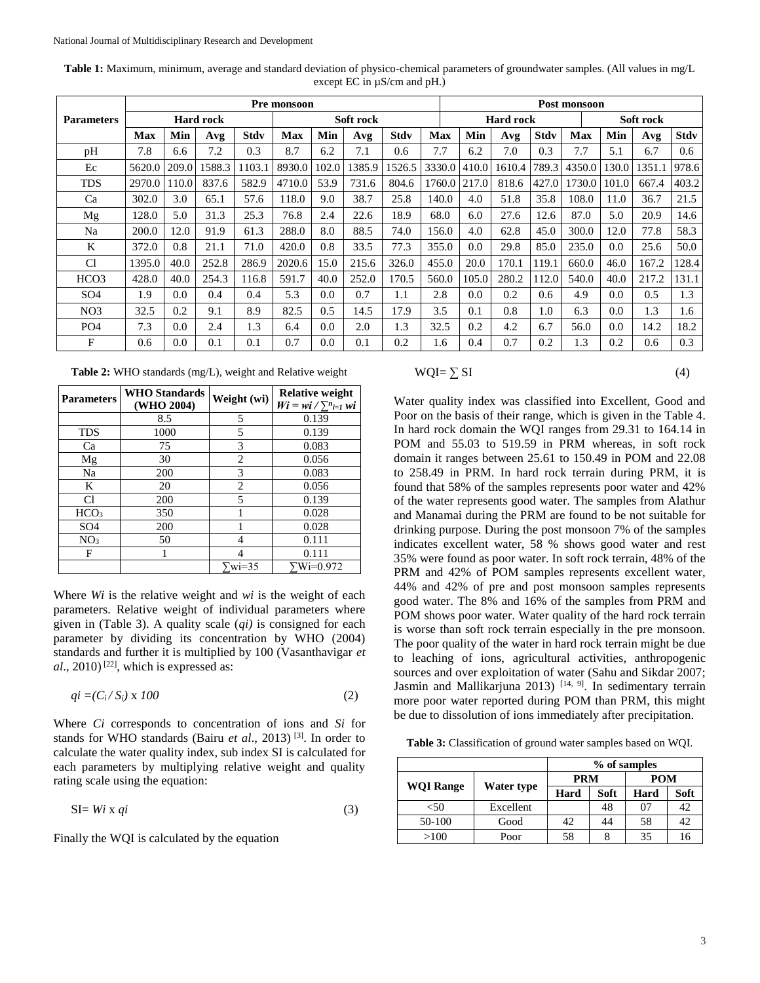|                   | Pre monsoon      |       |        |             |            |       |        |             | Post monsoon |                  |        |             |        |           |        |             |
|-------------------|------------------|-------|--------|-------------|------------|-------|--------|-------------|--------------|------------------|--------|-------------|--------|-----------|--------|-------------|
| <b>Parameters</b> | <b>Hard rock</b> |       |        |             | Soft rock  |       |        |             |              | <b>Hard rock</b> |        |             |        | Soft rock |        |             |
|                   | <b>Max</b>       | Min   | Avg    | <b>Stdv</b> | <b>Max</b> | Min   | Avg    | <b>Stdv</b> | <b>Max</b>   | Min              | Avg    | <b>Stdv</b> | Max    | Min       | Avg    | <b>Stdv</b> |
| pH                | 7.8              | 6.6   | 7.2    | 0.3         | 8.7        | 6.2   | 7.1    | 0.6         | 7.7          | 6.2              | 7.0    | 0.3         | 7.7    | 5.1       | 6.7    | 0.6         |
| Ec                | 5620.0           | 209.0 | 1588.3 | 1103.1      | 8930.0     | 102.0 | 1385.9 | 1526.5      | 3330.0       | 410.0            | 1610.4 | 789.3       | 4350.0 | 30.0      | 1351.1 | 978.6       |
| <b>TDS</b>        | 2970.0           | 110.0 | 837.6  | 582.9       | 4710.0     | 53.9  | 731.6  | 804.6       | 1760.0       | 217.0            | 818.6  | 427.0       | 1730.0 | 101.0     | 667.4  | 403.2       |
| Ca                | 302.0            | 3.0   | 65.1   | 57.6        | 118.0      | 9.0   | 38.7   | 25.8        | 140.0        | 4.0              | 51.8   | 35.8        | 108.0  | 11.0      | 36.7   | 21.5        |
| Mg                | 128.0            | 5.0   | 31.3   | 25.3        | 76.8       | 2.4   | 22.6   | 18.9        | 68.0         | 6.0              | 27.6   | 12.6        | 87.0   | 5.0       | 20.9   | 14.6        |
| Na                | 200.0            | 12.0  | 91.9   | 61.3        | 288.0      | 8.0   | 88.5   | 74.0        | 156.0        | 4.0              | 62.8   | 45.0        | 300.0  | 12.0      | 77.8   | 58.3        |
| K                 | 372.0            | 0.8   | 21.1   | 71.0        | 420.0      | 0.8   | 33.5   | 77.3        | 355.0        | 0.0              | 29.8   | 85.0        | 235.0  | $0.0\,$   | 25.6   | 50.0        |
| C <sub>1</sub>    | 1395.0           | 40.0  | 252.8  | 286.9       | 2020.6     | 15.0  | 215.6  | 326.0       | 455.0        | 20.0             | 170.1  | 119.1       | 660.0  | 46.0      | 167.2  | 128.4       |
| HCO <sub>3</sub>  | 428.0            | 40.0  | 254.3  | 116.8       | 591.7      | 40.0  | 252.0  | 170.5       | 560.0        | 105.0            | 280.2  | 112.0       | 540.0  | 40.0      | 217.2  | 131.1       |
| SO <sub>4</sub>   | 1.9              | 0.0   | 0.4    | 0.4         | 5.3        | 0.0   | 0.7    | 1.1         | 2.8          | 0.0              | 0.2    | 0.6         | 4.9    | $0.0\,$   | 0.5    | 1.3         |
| NO <sub>3</sub>   | 32.5             | 0.2   | 9.1    | 8.9         | 82.5       | 0.5   | 14.5   | 17.9        | 3.5          | 0.1              | 0.8    | 1.0         | 6.3    | 0.0       | 1.3    | 1.6         |
| PO <sub>4</sub>   | 7.3              | 0.0   | 2.4    | 1.3         | 6.4        | 0.0   | 2.0    | 1.3         | 32.5         | 0.2              | 4.2    | 6.7         | 56.0   | 0.0       | 14.2   | 18.2        |
| F                 | 0.6              | 0.0   | 0.1    | 0.1         | 0.7        | 0.0   | 0.1    | 0.2         | 1.6          | 0.4              | 0.7    | 0.2         | 1.3    | 0.2       | 0.6    | 0.3         |

**Table 1:** Maximum, minimum, average and standard deviation of physico-chemical parameters of groundwater samples. (All values in mg/L except EC in µS/cm and pH.)

**Table 2:** WHO standards (mg/L), weight and Relative weight

| <b>Parameters</b> | <b>WHO</b> Standards<br>(WHO 2004) | Weight (wi)           | <b>Relative weight</b><br>$Wi = wi / \sum_{i=1}^{n} wi$ |  |  |
|-------------------|------------------------------------|-----------------------|---------------------------------------------------------|--|--|
|                   | 8.5                                | 5                     | 0.139                                                   |  |  |
| <b>TDS</b>        | 1000                               | 5                     | 0.139                                                   |  |  |
| Ca                | 75                                 | 3                     | 0.083                                                   |  |  |
| Mg                | 30                                 | 2                     | 0.056                                                   |  |  |
| Na                | 200                                | 3                     | 0.083                                                   |  |  |
| K                 | 20                                 | 2                     | 0.056                                                   |  |  |
| C1                | 200                                | 5                     | 0.139                                                   |  |  |
| HCO <sub>3</sub>  | 350                                |                       | 0.028                                                   |  |  |
| SO <sub>4</sub>   | 200                                |                       | 0.028                                                   |  |  |
| NO <sub>3</sub>   | 50                                 | 4                     | 0.111                                                   |  |  |
| F                 |                                    |                       | 0.111                                                   |  |  |
|                   |                                    | $\sqrt{\text{wi}}=35$ | Wi=0.972                                                |  |  |

Where *Wi* is the relative weight and *wi* is the weight of each parameters. Relative weight of individual parameters where given in (Table 3). A quality scale (*qi)* is consigned for each parameter by dividing its concentration by WHO (2004) standards and further it is multiplied by 100 (Vasanthavigar *et*   $al$ ., 2010)<sup>[22]</sup>, which is expressed as:

$$
qi = (C_i/S_i) \times 100 \tag{2}
$$

Where *Ci* corresponds to concentration of ions and *Si* for stands for WHO standards (Bairu *et al*., 2013) [3]. In order to calculate the water quality index, sub index SI is calculated for each parameters by multiplying relative weight and quality rating scale using the equation:

$$
SI = Wi \times qi \tag{3}
$$

Finally the WQI is calculated by the equation

$$
WQI = \sum SI
$$
 (4)

Water quality index was classified into Excellent, Good and Poor on the basis of their range, which is given in the Table 4. In hard rock domain the WQI ranges from 29.31 to 164.14 in POM and 55.03 to 519.59 in PRM whereas, in soft rock domain it ranges between 25.61 to 150.49 in POM and 22.08 to 258.49 in PRM. In hard rock terrain during PRM, it is found that 58% of the samples represents poor water and 42% of the water represents good water. The samples from Alathur and Manamai during the PRM are found to be not suitable for drinking purpose. During the post monsoon 7% of the samples indicates excellent water, 58 % shows good water and rest 35% were found as poor water. In soft rock terrain, 48% of the PRM and 42% of POM samples represents excellent water, 44% and 42% of pre and post monsoon samples represents good water. The 8% and 16% of the samples from PRM and POM shows poor water. Water quality of the hard rock terrain is worse than soft rock terrain especially in the pre monsoon. The poor quality of the water in hard rock terrain might be due to leaching of ions, agricultural activities, anthropogenic sources and over exploitation of water (Sahu and Sikdar 2007; Jasmin and Mallikarjuna 2013)<sup>[14, 9]</sup>. In sedimentary terrain more poor water reported during POM than PRM, this might be due to dissolution of ions immediately after precipitation.

**Table 3:** Classification of ground water samples based on WQI.

|                  |            | % of samples |      |            |      |  |  |
|------------------|------------|--------------|------|------------|------|--|--|
|                  |            | <b>PRM</b>   |      | <b>POM</b> |      |  |  |
| <b>WOI Range</b> | Water type | Hard         | Soft | Hard       | Soft |  |  |
| $50$             | Excellent  |              | 48   | 07         | 42   |  |  |
| 50-100           | Good       | 42           | 44   | 58         | 42   |  |  |
| >100             | Poor       | 58           |      | 35         | 16   |  |  |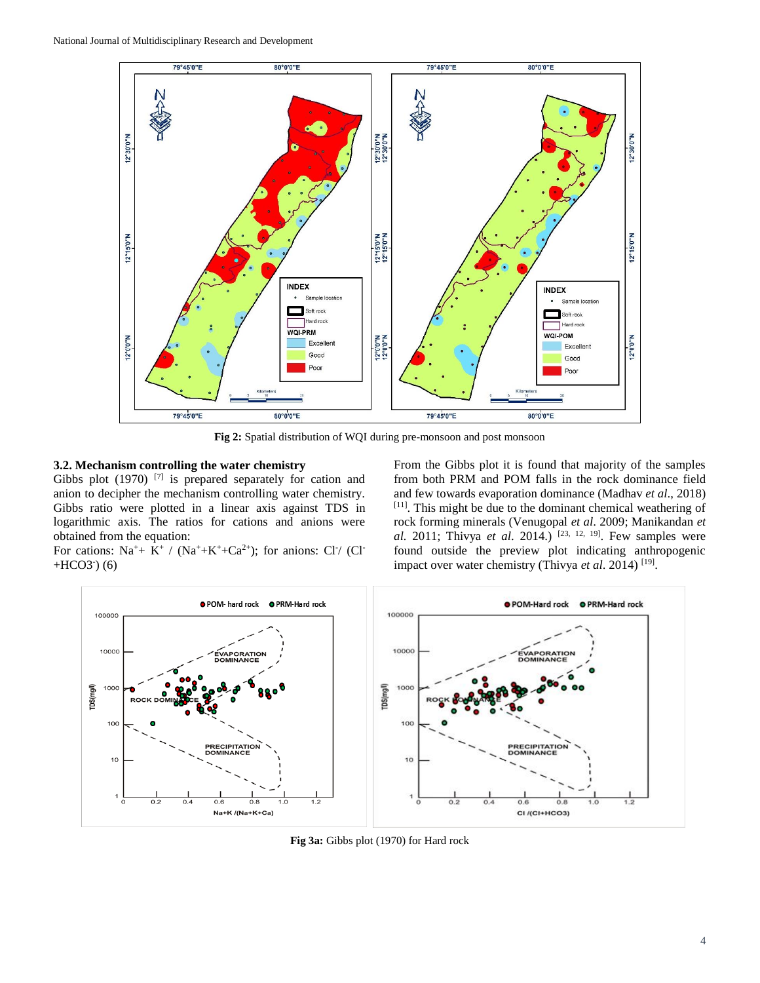

**Fig 2:** Spatial distribution of WQI during pre-monsoon and post monsoon

# **3.2. Mechanism controlling the water chemistry**

Gibbs plot  $(1970)$ <sup>[7]</sup> is prepared separately for cation and anion to decipher the mechanism controlling water chemistry. Gibbs ratio were plotted in a linear axis against TDS in logarithmic axis. The ratios for cations and anions were obtained from the equation:

For cations:  $Na^+ + K^+$  /  $(Na^+ + K^+ + Ca^{2+})$ ; for anions: Cl<sup>-</sup>/ (Cl<sup>-</sup>  $+HCO3^-$  (6)

From the Gibbs plot it is found that majority of the samples from both PRM and POM falls in the rock dominance field and few towards evaporation dominance (Madhav *et al*., 2018) [11]. This might be due to the dominant chemical weathering of rock forming minerals (Venugopal *et al*. 2009; Manikandan *et al.* 2011; Thivya *et al*. 2014.) [23, 12, 19] . Few samples were found outside the preview plot indicating anthropogenic impact over water chemistry (Thivya *et al*. 2014) [19] .



**Fig 3a:** Gibbs plot (1970) for Hard rock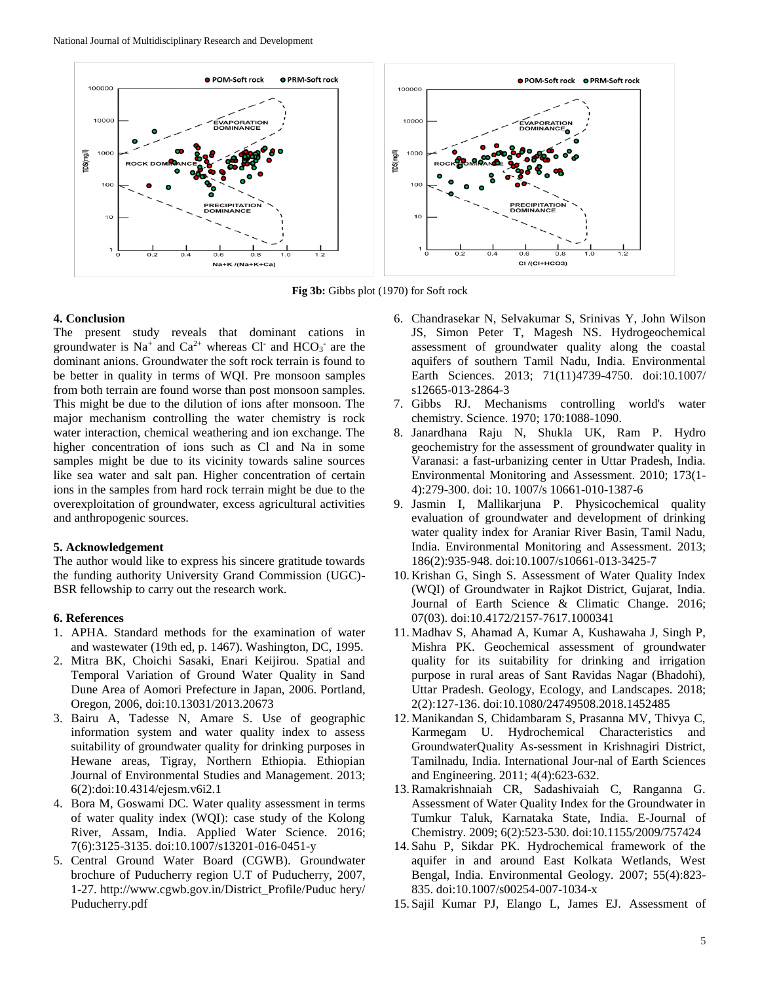

**Fig 3b:** Gibbs plot (1970) for Soft rock

#### **4. Conclusion**

The present study reveals that dominant cations in groundwater is  $Na^+$  and  $Ca^{2+}$  whereas Cl<sup>-</sup> and HCO<sub>3</sub><sup>-</sup> are the dominant anions. Groundwater the soft rock terrain is found to be better in quality in terms of WQI. Pre monsoon samples from both terrain are found worse than post monsoon samples. This might be due to the dilution of ions after monsoon. The major mechanism controlling the water chemistry is rock water interaction, chemical weathering and ion exchange. The higher concentration of ions such as Cl and Na in some samples might be due to its vicinity towards saline sources like sea water and salt pan. Higher concentration of certain ions in the samples from hard rock terrain might be due to the overexploitation of groundwater, excess agricultural activities and anthropogenic sources.

#### **5. Acknowledgement**

The author would like to express his sincere gratitude towards the funding authority University Grand Commission (UGC)- BSR fellowship to carry out the research work.

# **6. References**

- 1. APHA. Standard methods for the examination of water and wastewater (19th ed, p. 1467). Washington, DC, 1995.
- 2. Mitra BK, Choichi Sasaki, Enari Keijirou. Spatial and Temporal Variation of Ground Water Quality in Sand Dune Area of Aomori Prefecture in Japan, 2006. Portland, Oregon, 2006, doi:10.13031/2013.20673
- 3. Bairu A, Tadesse N, Amare S. Use of geographic information system and water quality index to assess suitability of groundwater quality for drinking purposes in Hewane areas, Tigray, Northern Ethiopia. Ethiopian Journal of Environmental Studies and Management. 2013; 6(2):doi:10.4314/ejesm.v6i2.1
- 4. Bora M, Goswami DC. Water quality assessment in terms of water quality index (WQI): case study of the Kolong River, Assam, India. Applied Water Science. 2016; 7(6):3125-3135. doi:10.1007/s13201-016-0451-y
- 5. Central Ground Water Board (CGWB). Groundwater brochure of Puducherry region U.T of Puducherry, 2007, 1-27. http://www.cgwb.gov.in/District\_Profile/Puduc hery/ Puducherry.pdf
- 6. Chandrasekar N, Selvakumar S, Srinivas Y, John Wilson JS, Simon Peter T, Magesh NS. Hydrogeochemical assessment of groundwater quality along the coastal aquifers of southern Tamil Nadu, India. Environmental Earth Sciences. 2013; 71(11)4739-4750. doi:10.1007/ s12665-013-2864-3
- 7. Gibbs RJ. Mechanisms controlling world's water chemistry. Science. 1970; 170:1088-1090.
- 8. Janardhana Raju N, Shukla UK, Ram P. Hydro geochemistry for the assessment of groundwater quality in Varanasi: a fast-urbanizing center in Uttar Pradesh, India. Environmental Monitoring and Assessment. 2010; 173(1- 4):279-300. doi: 10. 1007/s 10661-010-1387-6
- 9. Jasmin I, Mallikarjuna P. Physicochemical quality evaluation of groundwater and development of drinking water quality index for Araniar River Basin, Tamil Nadu, India. Environmental Monitoring and Assessment. 2013; 186(2):935-948. doi:10.1007/s10661-013-3425-7
- 10. Krishan G, Singh S. Assessment of Water Quality Index (WQI) of Groundwater in Rajkot District, Gujarat, India. Journal of Earth Science & Climatic Change. 2016; 07(03). doi:10.4172/2157-7617.1000341
- 11. Madhav S, Ahamad A, Kumar A, Kushawaha J, Singh P, Mishra PK. Geochemical assessment of groundwater quality for its suitability for drinking and irrigation purpose in rural areas of Sant Ravidas Nagar (Bhadohi), Uttar Pradesh. Geology, Ecology, and Landscapes. 2018; 2(2):127-136. doi:10.1080/24749508.2018.1452485
- 12. Manikandan S, Chidambaram S, Prasanna MV, Thivya C, Karmegam U. Hydrochemical Characteristics and GroundwaterQuality As-sessment in Krishnagiri District, Tamilnadu, India. International Jour-nal of Earth Sciences and Engineering. 2011; 4(4):623-632.
- 13.Ramakrishnaiah CR, Sadashivaiah C, Ranganna G. Assessment of Water Quality Index for the Groundwater in Tumkur Taluk, Karnataka State, India. E-Journal of Chemistry. 2009; 6(2):523-530. doi:10.1155/2009/757424
- 14. Sahu P, Sikdar PK. Hydrochemical framework of the aquifer in and around East Kolkata Wetlands, West Bengal, India. Environmental Geology. 2007; 55(4):823- 835. doi:10.1007/s00254-007-1034-x
- 15. Sajil Kumar PJ, Elango L, James EJ. Assessment of